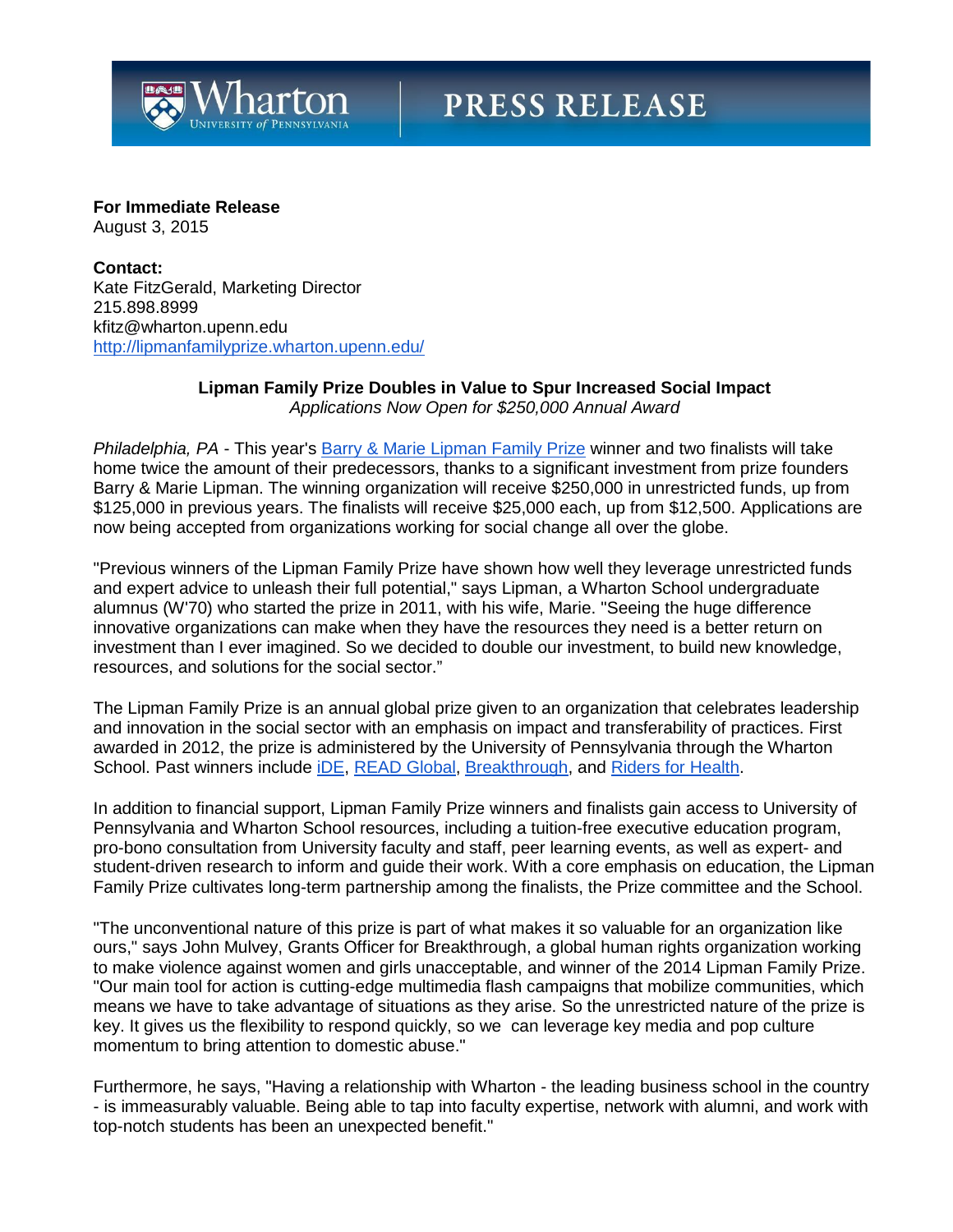

# **PRESS RELEASE**

# **For Immediate Release**

August 3, 2015

**Contact:** Kate FitzGerald, Marketing Director 215.898.8999 kfitz@wharton.upenn.edu <http://lipmanfamilyprize.wharton.upenn.edu/>

#### **Lipman Family Prize Doubles in Value to Spur Increased Social Impact** *Applications Now Open for \$250,000 Annual Award*

*Philadelphia, PA* - This year's [Barry & Marie Lipman Family Prize](http://lipmanfamilyprize.wharton.upenn.edu/) winner and two finalists will take home twice the amount of their predecessors, thanks to a significant investment from prize founders Barry & Marie Lipman. The winning organization will receive \$250,000 in unrestricted funds, up from \$125,000 in previous years. The finalists will receive \$25,000 each, up from \$12,500. Applications are now being accepted from organizations working for social change all over the globe.

"Previous winners of the Lipman Family Prize have shown how well they leverage unrestricted funds and expert advice to unleash their full potential," says Lipman, a Wharton School undergraduate alumnus (W'70) who started the prize in 2011, with his wife, Marie. "Seeing the huge difference innovative organizations can make when they have the resources they need is a better return on investment than I ever imagined. So we decided to double our investment, to build new knowledge, resources, and solutions for the social sector."

The Lipman Family Prize is an annual global prize given to an organization that celebrates leadership and innovation in the social sector with an emphasis on impact and transferability of practices. First awarded in 2012, the prize is administered by the University of Pennsylvania through the Wharton School. Past winners include [iDE,](http://www.ideorg.org/WhatWeDo/WASH.aspx) [READ Global,](http://www.readglobal.org/) [Breakthrough,](http://us.breakthrough.tv/) and [Riders for Health.](http://www.riders.org/)

In addition to financial support, Lipman Family Prize winners and finalists gain access to University of Pennsylvania and Wharton School resources, including a tuition-free executive education program, pro-bono consultation from University faculty and staff, peer learning events, as well as expert- and student-driven research to inform and guide their work. With a core emphasis on education, the Lipman Family Prize cultivates long-term partnership among the finalists, the Prize committee and the School.

"The unconventional nature of this prize is part of what makes it so valuable for an organization like ours," says John Mulvey, Grants Officer for Breakthrough, a global human rights organization working to make violence against women and girls unacceptable, and winner of the 2014 Lipman Family Prize. "Our main tool for action is cutting-edge multimedia flash campaigns that mobilize communities, which means we have to take advantage of situations as they arise. So the unrestricted nature of the prize is key. It gives us the flexibility to respond quickly, so we can leverage key media and pop culture momentum to bring attention to domestic abuse."

Furthermore, he says, "Having a relationship with Wharton - the leading business school in the country - is immeasurably valuable. Being able to tap into faculty expertise, network with alumni, and work with top-notch students has been an unexpected benefit."